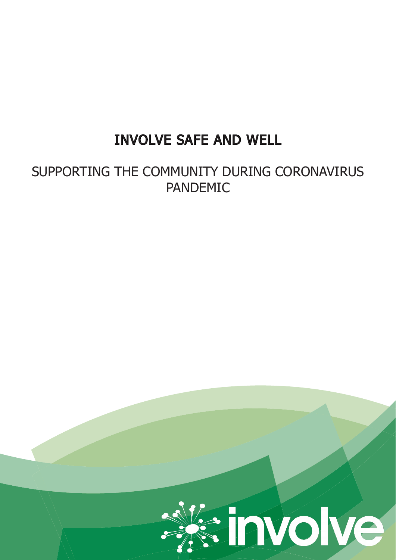# INVOLVE SAFE AND WELL

SUPPORTING THE COMMUNITY DURING CORONAVIRUS PANDEMIC

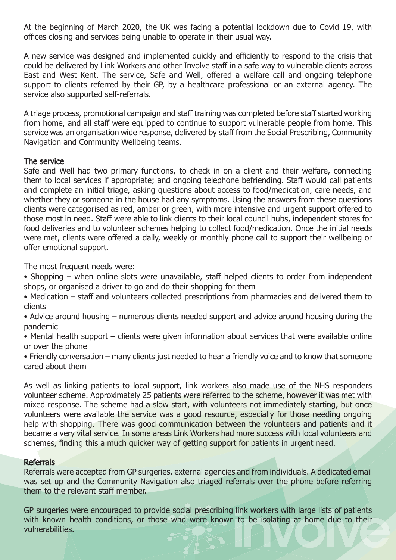At the beginning of March 2020, the UK was facing a potential lockdown due to Covid 19, with offices closing and services being unable to operate in their usual way.

A new service was designed and implemented quickly and efficiently to respond to the crisis that could be delivered by Link Workers and other Involve staff in a safe way to vulnerable clients across East and West Kent. The service, Safe and Well, offered a welfare call and ongoing telephone support to clients referred by their GP, by a healthcare professional or an external agency. The service also supported self-referrals.

A triage process, promotional campaign and staff training was completed before staff started working from home, and all staff were equipped to continue to support vulnerable people from home. This service was an organisation wide response, delivered by staff from the Social Prescribing, Community Navigation and Community Wellbeing teams.

#### The service

Safe and Well had two primary functions, to check in on a client and their welfare, connecting them to local services if appropriate; and ongoing telephone befriending. Staff would call patients and complete an initial triage, asking questions about access to food/medication, care needs, and whether they or someone in the house had any symptoms. Using the answers from these questions clients were categorised as red, amber or green, with more intensive and urgent support offered to those most in need. Staff were able to link clients to their local council hubs, independent stores for food deliveries and to volunteer schemes helping to collect food/medication. Once the initial needs were met, clients were offered a daily, weekly or monthly phone call to support their wellbeing or offer emotional support.

The most frequent needs were:

- Shopping when online slots were unavailable, staff helped clients to order from independent shops, or organised a driver to go and do their shopping for them
- Medication staff and volunteers collected prescriptions from pharmacies and delivered them to clients
- Advice around housing numerous clients needed support and advice around housing during the pandemic
- Mental health support clients were given information about services that were available online or over the phone
- Friendly conversation many clients just needed to hear a friendly voice and to know that someone cared about them

As well as linking patients to local support, link workers also made use of the NHS responders volunteer scheme. Approximately 25 patients were referred to the scheme, however it was met with mixed response. The scheme had a slow start, with volunteers not immediately starting, but once volunteers were available the service was a good resource, especially for those needing ongoing help with shopping. There was good communication between the volunteers and patients and it became a very vital service. In some areas Link Workers had more success with local volunteers and schemes, finding this a much quicker way of getting support for patients in urgent need.

#### **Referrals**

Referrals were accepted from GP surgeries, external agencies and from individuals. A dedicated email was set up and the Community Navigation also triaged referrals over the phone before referring them to the relevant staff member.

GP surgeries were encouraged to provide social prescribing link workers with large lists of patients with known health conditions, or those who were known to be isolating at home due to their vulnerabilities.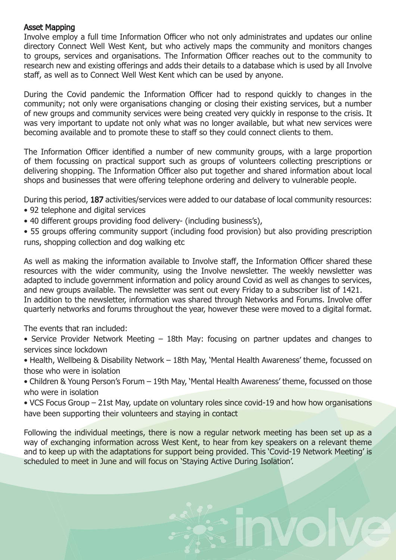### Asset Mapping

Involve employ a full time Information Officer who not only administrates and updates our online directory Connect Well West Kent, but who actively maps the community and monitors changes to groups, services and organisations. The Information Officer reaches out to the community to research new and existing offerings and adds their details to a database which is used by all Involve staff, as well as to Connect Well West Kent which can be used by anyone.

During the Covid pandemic the Information Officer had to respond quickly to changes in the community; not only were organisations changing or closing their existing services, but a number of new groups and community services were being created very quickly in response to the crisis. It was very important to update not only what was no longer available, but what new services were becoming available and to promote these to staff so they could connect clients to them.

The Information Officer identified a number of new community groups, with a large proportion of them focussing on practical support such as groups of volunteers collecting prescriptions or delivering shopping. The Information Officer also put together and shared information about local shops and businesses that were offering telephone ordering and delivery to vulnerable people.

During this period, 187 activities/services were added to our database of local community resources:

- 92 telephone and digital services
- 40 different groups providing food delivery- (including business's),
- 55 groups offering community support (including food provision) but also providing prescription runs, shopping collection and dog walking etc

As well as making the information available to Involve staff, the Information Officer shared these resources with the wider community, using the Involve newsletter. The weekly newsletter was adapted to include government information and policy around Covid as well as changes to services, and new groups available. The newsletter was sent out every Friday to a subscriber list of 1421. In addition to the newsletter, information was shared through Networks and Forums. Involve offer quarterly networks and forums throughout the year, however these were moved to a digital format.

The events that ran included:

• Service Provider Network Meeting – 18th May: focusing on partner updates and changes to services since lockdown

• Health, Wellbeing & Disability Network – 18th May, 'Mental Health Awareness' theme, focussed on those who were in isolation

• Children & Young Person's Forum – 19th May, 'Mental Health Awareness' theme, focussed on those who were in isolation

• VCS Focus Group – 21st May, update on voluntary roles since covid-19 and how how organisations have been supporting their volunteers and staying in contact

Following the individual meetings, there is now a regular network meeting has been set up as a way of exchanging information across West Kent, to hear from key speakers on a relevant theme and to keep up with the adaptations for support being provided. This 'Covid-19 Network Meeting' is scheduled to meet in June and will focus on 'Staying Active During Isolation'.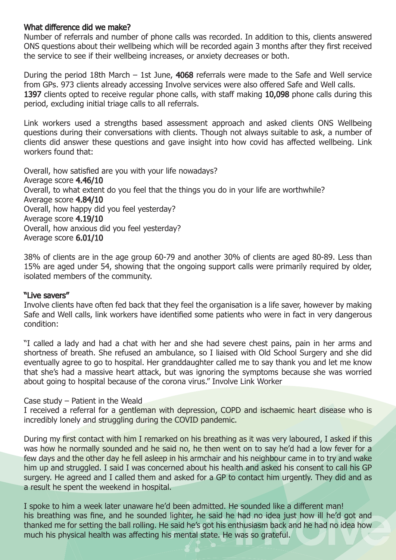#### What difference did we make?

Number of referrals and number of phone calls was recorded. In addition to this, clients answered ONS questions about their wellbeing which will be recorded again 3 months after they first received the service to see if their wellbeing increases, or anxiety decreases or both.

During the period 18th March – 1st June, 4068 referrals were made to the Safe and Well service from GPs. 973 clients already accessing Involve services were also offered Safe and Well calls. 1397 clients opted to receive regular phone calls, with staff making 10,098 phone calls during this period, excluding initial triage calls to all referrals.

Link workers used a strengths based assessment approach and asked clients ONS Wellbeing questions during their conversations with clients. Though not always suitable to ask, a number of clients did answer these questions and gave insight into how covid has affected wellbeing. Link workers found that:

Overall, how satisfied are you with your life nowadays? Average score 4.46/10 Overall, to what extent do you feel that the things you do in your life are worthwhile? Average score 4.84/10 Overall, how happy did you feel yesterday? Average score 4.19/10 Overall, how anxious did you feel yesterday? Average score 6.01/10

38% of clients are in the age group 60-79 and another 30% of clients are aged 80-89. Less than 15% are aged under 54, showing that the ongoing support calls were primarily required by older, isolated members of the community.

#### "Live savers"

Involve clients have often fed back that they feel the organisation is a life saver, however by making Safe and Well calls, link workers have identified some patients who were in fact in very dangerous condition:

"I called a lady and had a chat with her and she had severe chest pains, pain in her arms and shortness of breath. She refused an ambulance, so I liaised with Old School Surgery and she did eventually agree to go to hospital. Her granddaughter called me to say thank you and let me know that she's had a massive heart attack, but was ignoring the symptoms because she was worried about going to hospital because of the corona virus." Involve Link Worker

Case study – Patient in the Weald

I received a referral for a gentleman with depression, COPD and ischaemic heart disease who is incredibly lonely and struggling during the COVID pandemic.

During my first contact with him I remarked on his breathing as it was very laboured, I asked if this was how he normally sounded and he said no, he then went on to say he'd had a low fever for a few days and the other day he fell asleep in his armchair and his neighbour came in to try and wake him up and struggled. I said I was concerned about his health and asked his consent to call his GP surgery. He agreed and I called them and asked for a GP to contact him urgently. They did and as a result he spent the weekend in hospital.

I spoke to him a week later unaware he'd been admitted. He sounded like a different man! his breathing was fine, and he sounded lighter, he said he had no idea just how ill he'd got and thanked me for setting the ball rolling. He said he's got his enthusiasm back and he had no idea how much his physical health was affecting his mental state. He was so grateful.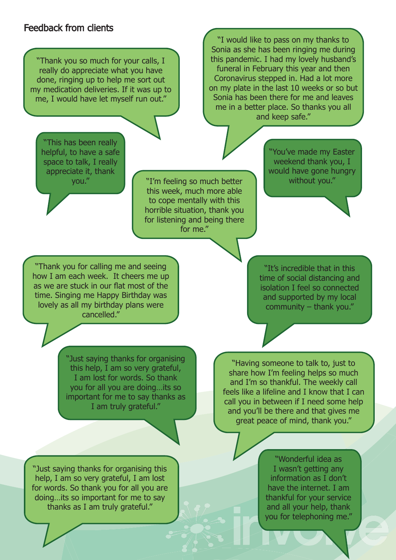## Feedback from clients

"Thank you so much for your calls, I really do appreciate what you have done, ringing up to help me sort out my medication deliveries. If it was up to me, I would have let myself run out."

"I would like to pass on my thanks to Sonia as she has been ringing me during this pandemic. I had my lovely husband's funeral in February this year and then Coronavirus stepped in. Had a lot more on my plate in the last 10 weeks or so but Sonia has been there for me and leaves me in a better place. So thanks you all and keep safe."

"This has been really helpful, to have a safe space to talk, I really appreciate it, thank you."

"I'm feeling so much better this week, much more able to cope mentally with this horrible situation, thank you for listening and being there for me."

"You've made my Easter weekend thank you, I would have gone hungry without you."

"Thank you for calling me and seeing how I am each week. It cheers me up as we are stuck in our flat most of the time. Singing me Happy Birthday was lovely as all my birthday plans were cancelled."

"It's incredible that in this time of social distancing and isolation I feel so connected and supported by my local community – thank you."

"Just saying thanks for organising this help, I am so very grateful, I am lost for words. So thank you for all you are doing…its so important for me to say thanks as I am truly grateful."

"Having someone to talk to, just to share how I'm feeling helps so much and I'm so thankful. The weekly call feels like a lifeline and I know that I can call you in between if I need some help and you'll be there and that gives me great peace of mind, thank you."

"Just saying thanks for organising this help, I am so very grateful, I am lost for words. So thank you for all you are doing…its so important for me to say thanks as I am truly grateful."

"Wonderful idea as I wasn't getting any information as I don't have the internet. I am thankful for your service and all your help, thank you for telephoning me."